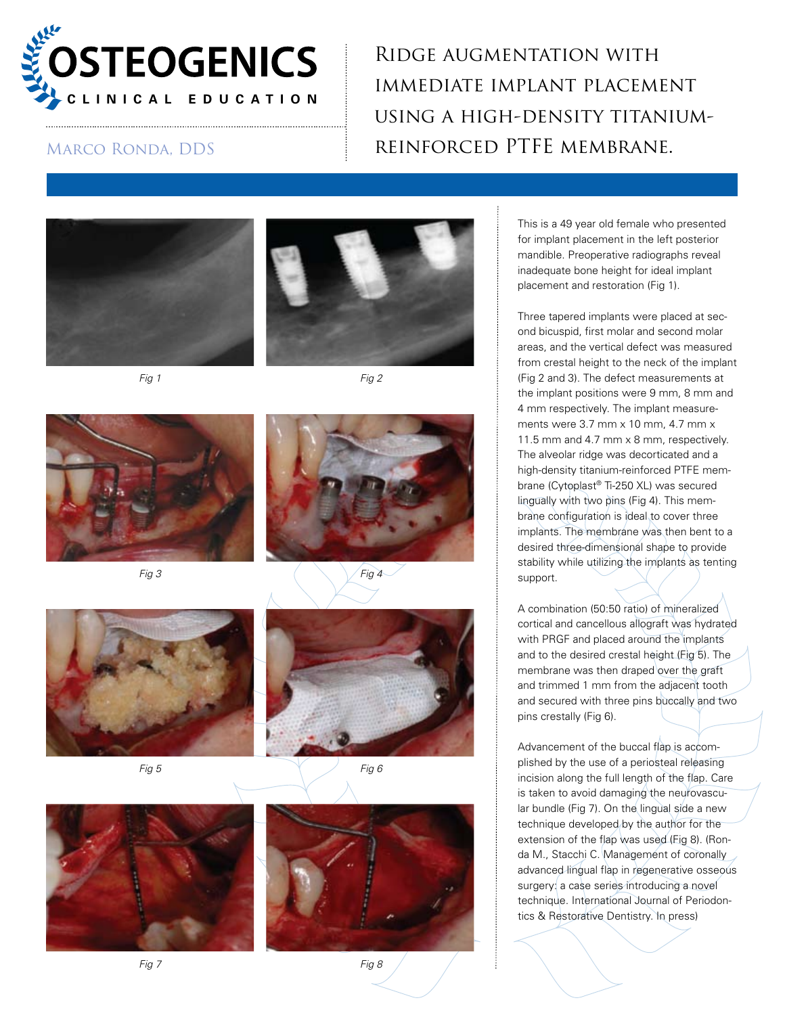

Ridge augmentation with immediate implant placement using a high-density titanium-MARCO RONDA, DDS REINFORCED PTFE MEMBRANE.











$$
Fig 3 \qquad \qquad \left(\begin{array}{c}\text{Fig 4}\end{array}\right)
$$





*Fig 5 Fig 6*





*Fig 7 Fig 8*

This is a 49 year old female who presented for implant placement in the left posterior mandible. Preoperative radiographs reveal inadequate bone height for ideal implant placement and restoration (Fig 1).

Three tapered implants were placed at second bicuspid, first molar and second molar areas, and the vertical defect was measured from crestal height to the neck of the implant (Fig 2 and 3). The defect measurements at the implant positions were 9 mm, 8 mm and 4 mm respectively. The implant measurements were 3.7 mm x 10 mm, 4.7 mm x 11.5 mm and 4.7 mm x 8 mm, respectively. The alveolar ridge was decorticated and a high-density titanium-reinforced PTFE membrane (Cytoplast® Ti-250 XL) was secured lingually with two pins (Fig 4). This membrane configuration is ideal to cover three implants. The membrane was then bent to a desired three-dimensional shape to provide stability while utilizing the implants as tenting support.

A combination (50:50 ratio) of mineralized cortical and cancellous allograft was hydrated with PRGF and placed around the implants and to the desired crestal height (Fig 5). The membrane was then draped over the graft and trimmed 1 mm from the adjacent tooth and secured with three pins buccally and two pins crestally (Fig 6).

Advancement of the buccal flap is accomplished by the use of a periosteal releasing incision along the full length of the flap. Care is taken to avoid damaging the neurovascular bundle (Fig 7). On the lingual side a new technique developed by the author for the extension of the flap was used (Fig 8). (Ronda M., Stacchi C. Management of coronally advanced lingual flap in regenerative osseous surgery: a case series introducing a novel technique. International Journal of Periodontics & Restorative Dentistry. In press)